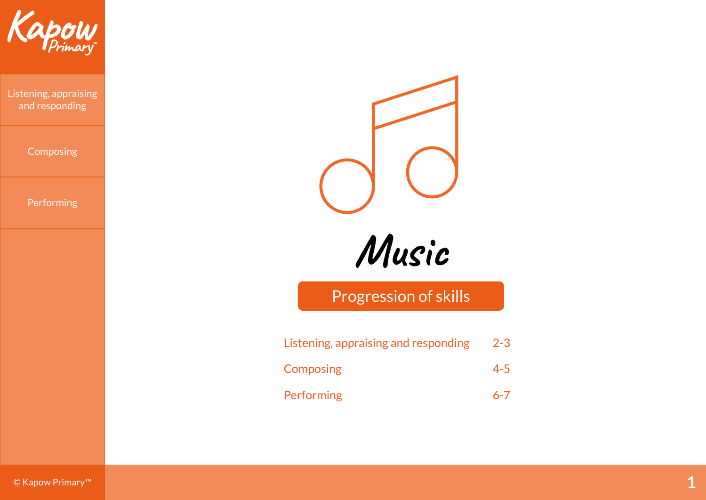

Listening, appraising and responding

**Composing** 

Performing



**Music**

Progression of skills

| Listening, appraising and responding | $2 - 3$ |
|--------------------------------------|---------|
| <b>Composing</b>                     | $4 - 5$ |
| Performing                           | $6 - 7$ |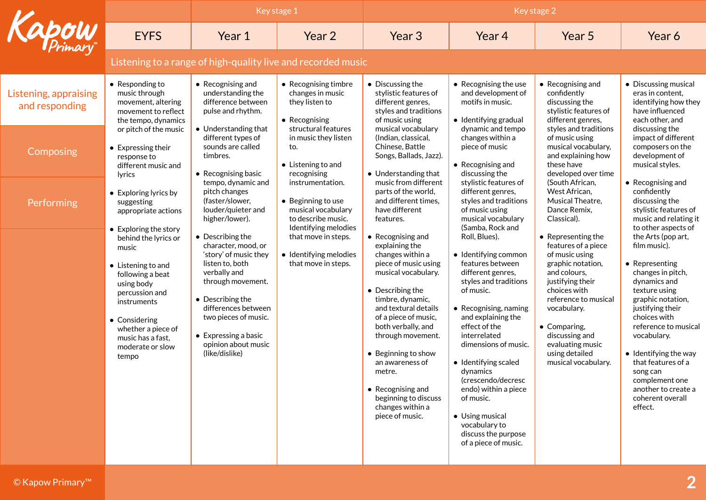|                                         |                                                                                                                                                                                                                 | Key stage 1                                                                                                                                                                                                                                                          |                                                                                                            | Key stage 2                                                                                                                                                                                                                                                                                                                                                                               |                                                                                                                                                                                                                                                                                                                                                                                                                |                                                                                                                                                                                                                                                                            |                                                                                                                                                                                                                                                                                                                                                       |  |  |
|-----------------------------------------|-----------------------------------------------------------------------------------------------------------------------------------------------------------------------------------------------------------------|----------------------------------------------------------------------------------------------------------------------------------------------------------------------------------------------------------------------------------------------------------------------|------------------------------------------------------------------------------------------------------------|-------------------------------------------------------------------------------------------------------------------------------------------------------------------------------------------------------------------------------------------------------------------------------------------------------------------------------------------------------------------------------------------|----------------------------------------------------------------------------------------------------------------------------------------------------------------------------------------------------------------------------------------------------------------------------------------------------------------------------------------------------------------------------------------------------------------|----------------------------------------------------------------------------------------------------------------------------------------------------------------------------------------------------------------------------------------------------------------------------|-------------------------------------------------------------------------------------------------------------------------------------------------------------------------------------------------------------------------------------------------------------------------------------------------------------------------------------------------------|--|--|
| apow                                    | <b>EYFS</b>                                                                                                                                                                                                     | Year 1                                                                                                                                                                                                                                                               | Year 2                                                                                                     | Year 3                                                                                                                                                                                                                                                                                                                                                                                    | Year 4                                                                                                                                                                                                                                                                                                                                                                                                         | Year 5                                                                                                                                                                                                                                                                     | Year 6                                                                                                                                                                                                                                                                                                                                                |  |  |
|                                         | Listening to a range of high-quality live and recorded music                                                                                                                                                    |                                                                                                                                                                                                                                                                      |                                                                                                            |                                                                                                                                                                                                                                                                                                                                                                                           |                                                                                                                                                                                                                                                                                                                                                                                                                |                                                                                                                                                                                                                                                                            |                                                                                                                                                                                                                                                                                                                                                       |  |  |
| Listening, appraising<br>and responding | $\bullet$ Responding to<br>music through<br>movement, altering<br>movement to reflect<br>the tempo, dynamics                                                                                                    | $\bullet$ Recognising and<br>understanding the<br>difference between<br>pulse and rhythm.                                                                                                                                                                            | • Recognising timbre<br>changes in music<br>they listen to<br>• Recognising                                | • Discussing the<br>stylistic features of<br>different genres,<br>styles and traditions<br>of music using                                                                                                                                                                                                                                                                                 | • Recognising the use<br>and development of<br>motifs in music.<br>• Identifying gradual                                                                                                                                                                                                                                                                                                                       | • Recognising and<br>confidently<br>discussing the<br>stylistic features of<br>different genres,                                                                                                                                                                           | • Discussing musical<br>eras in content,<br>identifying how they<br>have influenced<br>each other, and                                                                                                                                                                                                                                                |  |  |
| Composing                               | or pitch of the music<br>• Expressing their<br>response to<br>different music and<br>lyrics                                                                                                                     | • Understanding that<br>different types of<br>sounds are called<br>timbres.<br>• Recognising basic                                                                                                                                                                   | structural features<br>in music they listen<br>to.<br>• Listening to and<br>recognising                    | musical vocabulary<br>(Indian, classical,<br>Chinese, Battle<br>Songs, Ballads, Jazz).<br>• Understanding that                                                                                                                                                                                                                                                                            | dynamic and tempo<br>changes within a<br>piece of music<br>$\bullet$ Recognising and<br>discussing the                                                                                                                                                                                                                                                                                                         | styles and traditions<br>of music using<br>musical vocabulary,<br>and explaining how<br>these have<br>developed over time                                                                                                                                                  | discussing the<br>impact of different<br>composers on the<br>development of<br>musical styles.                                                                                                                                                                                                                                                        |  |  |
| Performing                              | pitch changes<br>• Exploring lyrics by<br>(faster/slower,<br>suggesting<br>appropriate actions<br>higher/lower).<br>• Exploring the story                                                                       | tempo, dynamic and<br>louder/quieter and                                                                                                                                                                                                                             | instrumentation.<br>• Beginning to use<br>musical vocabulary<br>to describe music.<br>Identifying melodies | music from different<br>parts of the world,<br>and different times.<br>have different<br>features.                                                                                                                                                                                                                                                                                        | stylistic features of<br>different genres,<br>styles and traditions<br>of music using<br>musical vocabulary<br>(Samba, Rock and                                                                                                                                                                                                                                                                                | (South African,<br>West African,<br>Musical Theatre,<br>Dance Remix,<br>Classical).                                                                                                                                                                                        | • Recognising and<br>confidently<br>discussing the<br>stylistic features of<br>music and relating it<br>to other aspects of                                                                                                                                                                                                                           |  |  |
|                                         | behind the lyrics or<br>music<br>• Listening to and<br>following a beat<br>using body<br>percussion and<br>instruments<br>• Considering<br>whether a piece of<br>music has a fast,<br>moderate or slow<br>tempo | • Describing the<br>character, mood, or<br>'story' of music they<br>listen to, both<br>verbally and<br>through movement.<br>• Describing the<br>differences between<br>two pieces of music.<br>$\bullet$ Expressing a basic<br>opinion about music<br>(like/dislike) | that move in steps.<br>• Identifying melodies<br>that move in steps.                                       | $\bullet$ Recognising and<br>explaining the<br>changes within a<br>piece of music using<br>musical vocabulary.<br>• Describing the<br>timbre, dynamic,<br>and textural details<br>of a piece of music,<br>both verbally, and<br>through movement.<br>• Beginning to show<br>an awareness of<br>metre.<br>• Recognising and<br>beginning to discuss<br>changes within a<br>piece of music. | Roll, Blues).<br>• Identifying common<br>features between<br>different genres,<br>styles and traditions<br>of music.<br>• Recognising, naming<br>and explaining the<br>effect of the<br>interrelated<br>dimensions of music.<br>• Identifying scaled<br>dynamics<br>(crescendo/decresc<br>endo) within a piece<br>of music.<br>• Using musical<br>vocabulary to<br>discuss the purpose<br>of a piece of music. | • Representing the<br>features of a piece<br>of music using<br>graphic notation,<br>and colours,<br>justifying their<br>choices with<br>reference to musical<br>vocabulary.<br>• Comparing,<br>discussing and<br>evaluating music<br>using detailed<br>musical vocabulary. | the Arts (pop art,<br>film music).<br>• Representing<br>changes in pitch,<br>dynamics and<br>texture using<br>graphic notation,<br>justifying their<br>choices with<br>reference to musical<br>vocabulary.<br>$\bullet$ Identifying the way<br>that features of a<br>song can<br>complement one<br>another to create a<br>coherent overall<br>effect. |  |  |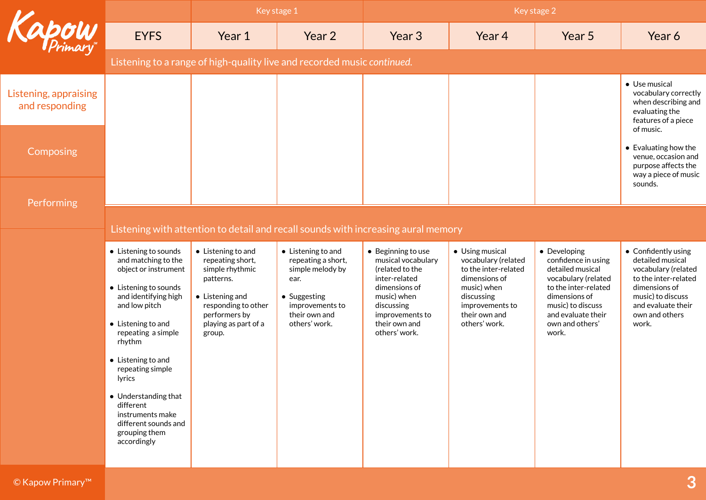|                                         |                                                                                                                                                                                                                                                                                                                                                                           |                                                                                                                                                                             | Key stage 1                                                                                                                                       | Key stage 2                                                                                                                                                                     |                                                                                                                                                                   |                                                                                                                                                                                                |                                                                                                                                                                               |  |  |
|-----------------------------------------|---------------------------------------------------------------------------------------------------------------------------------------------------------------------------------------------------------------------------------------------------------------------------------------------------------------------------------------------------------------------------|-----------------------------------------------------------------------------------------------------------------------------------------------------------------------------|---------------------------------------------------------------------------------------------------------------------------------------------------|---------------------------------------------------------------------------------------------------------------------------------------------------------------------------------|-------------------------------------------------------------------------------------------------------------------------------------------------------------------|------------------------------------------------------------------------------------------------------------------------------------------------------------------------------------------------|-------------------------------------------------------------------------------------------------------------------------------------------------------------------------------|--|--|
| Kapow                                   | <b>EYFS</b>                                                                                                                                                                                                                                                                                                                                                               | Year 1                                                                                                                                                                      | Year 2                                                                                                                                            | Year 3                                                                                                                                                                          | Year 4                                                                                                                                                            | Year 5                                                                                                                                                                                         | Year 6                                                                                                                                                                        |  |  |
|                                         | Listening to a range of high-quality live and recorded music continued.                                                                                                                                                                                                                                                                                                   |                                                                                                                                                                             |                                                                                                                                                   |                                                                                                                                                                                 |                                                                                                                                                                   |                                                                                                                                                                                                |                                                                                                                                                                               |  |  |
| Listening, appraising<br>and responding |                                                                                                                                                                                                                                                                                                                                                                           |                                                                                                                                                                             |                                                                                                                                                   |                                                                                                                                                                                 |                                                                                                                                                                   |                                                                                                                                                                                                | • Use musical<br>vocabulary correctly<br>when describing and<br>evaluating the<br>features of a piece<br>of music.                                                            |  |  |
| Composing                               |                                                                                                                                                                                                                                                                                                                                                                           |                                                                                                                                                                             |                                                                                                                                                   |                                                                                                                                                                                 |                                                                                                                                                                   |                                                                                                                                                                                                | $\bullet$ Evaluating how the<br>venue, occasion and<br>purpose affects the<br>way a piece of music<br>sounds.                                                                 |  |  |
| Performing                              |                                                                                                                                                                                                                                                                                                                                                                           |                                                                                                                                                                             |                                                                                                                                                   |                                                                                                                                                                                 |                                                                                                                                                                   |                                                                                                                                                                                                |                                                                                                                                                                               |  |  |
|                                         |                                                                                                                                                                                                                                                                                                                                                                           |                                                                                                                                                                             | Listening with attention to detail and recall sounds with increasing aural memory                                                                 |                                                                                                                                                                                 |                                                                                                                                                                   |                                                                                                                                                                                                |                                                                                                                                                                               |  |  |
|                                         | • Listening to sounds<br>and matching to the<br>object or instrument<br>• Listening to sounds<br>and identifying high<br>and low pitch<br>$\bullet$ Listening to and<br>repeating a simple<br>rhythm<br>• Listening to and<br>repeating simple<br>lyrics<br>• Understanding that<br>different<br>instruments make<br>different sounds and<br>grouping them<br>accordingly | • Listening to and<br>repeating short,<br>simple rhythmic<br>patterns.<br>$\bullet$ Listening and<br>responding to other<br>performers by<br>playing as part of a<br>group. | $\bullet$ Listening to and<br>repeating a short,<br>simple melody by<br>ear.<br>• Suggesting<br>improvements to<br>their own and<br>others' work. | • Beginning to use<br>musical vocabulary<br>(related to the<br>inter-related<br>dimensions of<br>music) when<br>discussing<br>improvements to<br>their own and<br>others' work. | • Using musical<br>vocabulary (related<br>to the inter-related<br>dimensions of<br>music) when<br>discussing<br>improvements to<br>their own and<br>others' work. | • Developing<br>confidence in using<br>detailed musical<br>vocabulary (related<br>to the inter-related<br>dimensions of<br>music) to discuss<br>and evaluate their<br>own and others'<br>work. | • Confidently using<br>detailed musical<br>vocabulary (related<br>to the inter-related<br>dimensions of<br>music) to discuss<br>and evaluate their<br>own and others<br>work. |  |  |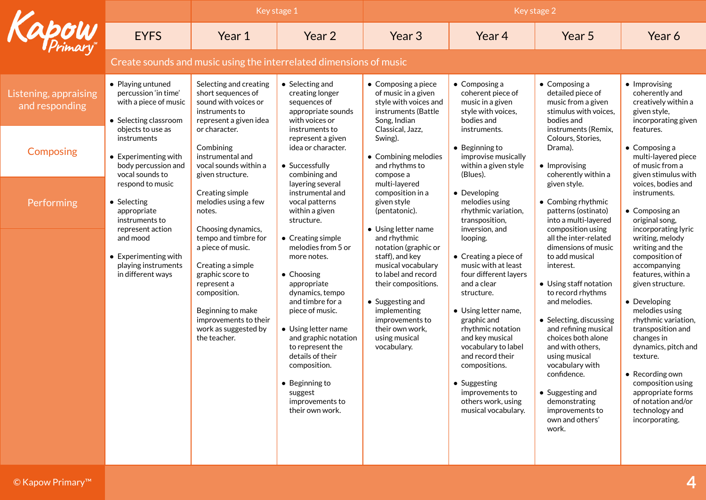|                                         |                                                                                                                  | Key stage 1                                                                                                                                                                                             |                                                                                                                                                                                                                                                                                                                                 | Key stage 2                                                                                                                                                                                                                           |                                                                                                                                                                                                                                                                                                                                           |                                                                                                                                                                                                                                                                                                                                                                                         |                                                                                                                                                                                                                                                                                                                                                                      |  |
|-----------------------------------------|------------------------------------------------------------------------------------------------------------------|---------------------------------------------------------------------------------------------------------------------------------------------------------------------------------------------------------|---------------------------------------------------------------------------------------------------------------------------------------------------------------------------------------------------------------------------------------------------------------------------------------------------------------------------------|---------------------------------------------------------------------------------------------------------------------------------------------------------------------------------------------------------------------------------------|-------------------------------------------------------------------------------------------------------------------------------------------------------------------------------------------------------------------------------------------------------------------------------------------------------------------------------------------|-----------------------------------------------------------------------------------------------------------------------------------------------------------------------------------------------------------------------------------------------------------------------------------------------------------------------------------------------------------------------------------------|----------------------------------------------------------------------------------------------------------------------------------------------------------------------------------------------------------------------------------------------------------------------------------------------------------------------------------------------------------------------|--|
| <b>apow</b>                             | <b>EYFS</b>                                                                                                      | Year 1                                                                                                                                                                                                  | Year 2                                                                                                                                                                                                                                                                                                                          | Year <sub>3</sub>                                                                                                                                                                                                                     | Year 4                                                                                                                                                                                                                                                                                                                                    | Year 5                                                                                                                                                                                                                                                                                                                                                                                  | Year 6                                                                                                                                                                                                                                                                                                                                                               |  |
|                                         | Create sounds and music using the interrelated dimensions of music                                               |                                                                                                                                                                                                         |                                                                                                                                                                                                                                                                                                                                 |                                                                                                                                                                                                                                       |                                                                                                                                                                                                                                                                                                                                           |                                                                                                                                                                                                                                                                                                                                                                                         |                                                                                                                                                                                                                                                                                                                                                                      |  |
| Listening, appraising<br>and responding | • Playing untuned<br>percussion 'in time'<br>with a piece of music<br>• Selecting classroom<br>objects to use as | Selecting and creating<br>short sequences of<br>sound with voices or<br>instruments to<br>represent a given idea<br>or character.                                                                       | • Selecting and<br>creating longer<br>sequences of<br>appropriate sounds<br>with voices or<br>instruments to                                                                                                                                                                                                                    | $\bullet$ Composing a piece<br>of music in a given<br>style with voices and<br>instruments (Battle<br>Song, Indian<br>Classical, Jazz,                                                                                                | $\bullet$ Composing a<br>coherent piece of<br>music in a given<br>style with voices,<br>bodies and<br>instruments.                                                                                                                                                                                                                        | $\bullet$ Composing a<br>detailed piece of<br>music from a given<br>stimulus with voices,<br>bodies and<br>instruments (Remix,                                                                                                                                                                                                                                                          | • Improvising<br>coherently and<br>creatively within a<br>given style,<br>incorporating given<br>features.                                                                                                                                                                                                                                                           |  |
| Composing                               | instruments<br>$\bullet$ Experimenting with<br>body percussion and<br>vocal sounds to                            | Combining<br>instrumental and<br>vocal sounds within a<br>given structure.                                                                                                                              | represent a given<br>idea or character.<br>• Successfully<br>combining and                                                                                                                                                                                                                                                      | Swing).<br>• Combining melodies<br>and rhythms to<br>compose a                                                                                                                                                                        | $\bullet$ Beginning to<br>improvise musically<br>within a given style<br>(Blues).                                                                                                                                                                                                                                                         | Colours, Stories,<br>Drama).<br>• Improvising<br>coherently within a                                                                                                                                                                                                                                                                                                                    | $\bullet$ Composing a<br>multi-layered piece<br>of music from a<br>given stimulus with                                                                                                                                                                                                                                                                               |  |
| Performing                              | respond to music<br>• Selecting<br>appropriate<br>instruments to<br>represent action                             | Creating simple<br>melodies using a few<br>notes.<br>Choosing dynamics,                                                                                                                                 | layering several<br>instrumental and<br>vocal patterns<br>within a given<br>structure.                                                                                                                                                                                                                                          | multi-layered<br>composition in a<br>given style<br>(pentatonic).<br>• Using letter name                                                                                                                                              | • Developing<br>melodies using<br>rhythmic variation,<br>transposition,<br>inversion, and                                                                                                                                                                                                                                                 | given style.<br>• Combing rhythmic<br>patterns (ostinato)<br>into a multi-layered<br>composition using                                                                                                                                                                                                                                                                                  | voices, bodies and<br>instruments.<br>• Composing an<br>original song,<br>incorporating lyric                                                                                                                                                                                                                                                                        |  |
|                                         | and mood<br>$\bullet$ Experimenting with<br>playing instruments<br>in different ways                             | tempo and timbre for<br>a piece of music.<br>Creating a simple<br>graphic score to<br>represent a<br>composition.<br>Beginning to make<br>improvements to their<br>work as suggested by<br>the teacher. | • Creating simple<br>melodies from 5 or<br>more notes.<br>$\bullet$ Choosing<br>appropriate<br>dynamics, tempo<br>and timbre for a<br>piece of music.<br>• Using letter name<br>and graphic notation<br>to represent the<br>details of their<br>composition.<br>• Beginning to<br>suggest<br>improvements to<br>their own work. | and rhythmic<br>notation (graphic or<br>staff), and key<br>musical vocabulary<br>to label and record<br>their compositions.<br>• Suggesting and<br>implementing<br>improvements to<br>their own work,<br>using musical<br>vocabulary. | looping.<br>• Creating a piece of<br>music with at least<br>four different layers<br>and a clear<br>structure.<br>• Using letter name,<br>graphic and<br>rhythmic notation<br>and key musical<br>vocabulary to label<br>and record their<br>compositions.<br>• Suggesting<br>improvements to<br>others work, using<br>musical vocabulary. | all the inter-related<br>dimensions of music<br>to add musical<br>interest.<br>• Using staff notation<br>to record rhythms<br>and melodies.<br>• Selecting, discussing<br>and refining musical<br>choices both alone<br>and with others,<br>using musical<br>vocabulary with<br>confidence.<br>$\bullet$ Suggesting and<br>demonstrating<br>improvements to<br>own and others'<br>work. | writing, melody<br>writing and the<br>composition of<br>accompanying<br>features, within a<br>given structure.<br>• Developing<br>melodies using<br>rhythmic variation,<br>transposition and<br>changes in<br>dynamics, pitch and<br>texture.<br>• Recording own<br>composition using<br>appropriate forms<br>of notation and/or<br>technology and<br>incorporating. |  |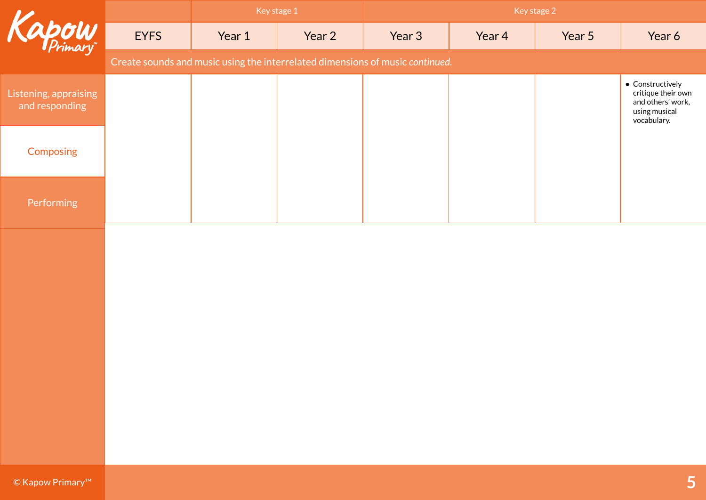|                                         |             |        | Key stage 1                                                                   | Key stage 2 |        |        |                                                                                                     |  |
|-----------------------------------------|-------------|--------|-------------------------------------------------------------------------------|-------------|--------|--------|-----------------------------------------------------------------------------------------------------|--|
| Kapow                                   | <b>EYFS</b> | Year 1 | Year 2                                                                        | Year 3      | Year 4 | Year 5 | Year 6                                                                                              |  |
|                                         |             |        | Create sounds and music using the interrelated dimensions of music continued. |             |        |        |                                                                                                     |  |
| Listening, appraising<br>and responding |             |        |                                                                               |             |        |        | $\bullet$ Constructively<br>critique their own<br>and others' work,<br>using musical<br>vocabulary. |  |
| Composing                               |             |        |                                                                               |             |        |        |                                                                                                     |  |
| Performing                              |             |        |                                                                               |             |        |        |                                                                                                     |  |
|                                         |             |        |                                                                               |             |        |        |                                                                                                     |  |
| © Kapow Primary™                        |             |        |                                                                               |             |        |        | 5                                                                                                   |  |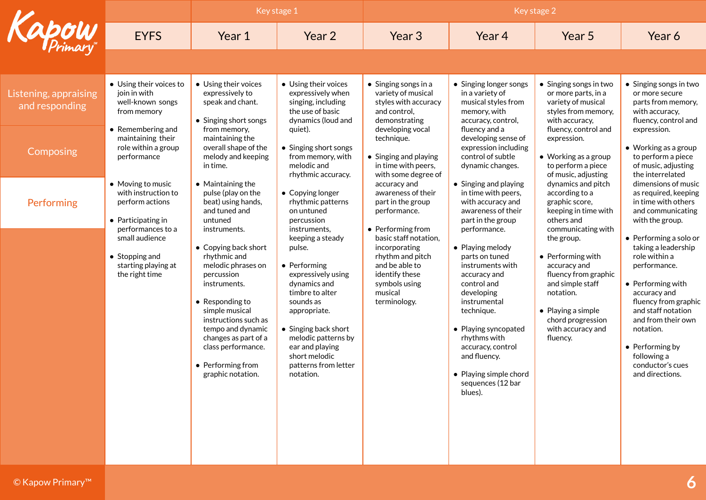|                                         |                                                                                                                                                                                                                                                                                                                                    | Key stage 1                                                                                                                                                                                                                                                        |                                                                                                                                                                                                                                                                                                                                                                     | Key stage 2                                                                                                                                |                                                                                                                                                                                                                                                                          |                                                                                                                                                                                                      |                                                                                                                                                                                                                                                                                       |
|-----------------------------------------|------------------------------------------------------------------------------------------------------------------------------------------------------------------------------------------------------------------------------------------------------------------------------------------------------------------------------------|--------------------------------------------------------------------------------------------------------------------------------------------------------------------------------------------------------------------------------------------------------------------|---------------------------------------------------------------------------------------------------------------------------------------------------------------------------------------------------------------------------------------------------------------------------------------------------------------------------------------------------------------------|--------------------------------------------------------------------------------------------------------------------------------------------|--------------------------------------------------------------------------------------------------------------------------------------------------------------------------------------------------------------------------------------------------------------------------|------------------------------------------------------------------------------------------------------------------------------------------------------------------------------------------------------|---------------------------------------------------------------------------------------------------------------------------------------------------------------------------------------------------------------------------------------------------------------------------------------|
| <b>apow</b>                             | <b>EYFS</b>                                                                                                                                                                                                                                                                                                                        | Year 1                                                                                                                                                                                                                                                             | Year 2                                                                                                                                                                                                                                                                                                                                                              | Year <sub>3</sub>                                                                                                                          | Year 4                                                                                                                                                                                                                                                                   | Year 5                                                                                                                                                                                               | Year 6                                                                                                                                                                                                                                                                                |
|                                         |                                                                                                                                                                                                                                                                                                                                    |                                                                                                                                                                                                                                                                    |                                                                                                                                                                                                                                                                                                                                                                     |                                                                                                                                            |                                                                                                                                                                                                                                                                          |                                                                                                                                                                                                      |                                                                                                                                                                                                                                                                                       |
| Listening, appraising<br>and responding | • Using their voices to<br>join in with<br>well-known songs<br>from memory                                                                                                                                                                                                                                                         | • Using their voices<br>expressively to<br>speak and chant.<br>• Singing short songs                                                                                                                                                                               | • Using their voices<br>expressively when<br>singing, including<br>the use of basic<br>dynamics (loud and                                                                                                                                                                                                                                                           | $\bullet$ Singing songs in a<br>variety of musical<br>styles with accuracy<br>and control.<br>demonstrating                                | • Singing longer songs<br>in a variety of<br>musical styles from<br>memory, with<br>accuracy, control,                                                                                                                                                                   | • Singing songs in two<br>or more parts, in a<br>variety of musical<br>styles from memory,<br>with accuracy,                                                                                         | • Singing songs in two<br>or more secure<br>parts from memory,<br>with accuracy,<br>fluency, control and                                                                                                                                                                              |
| Composing                               | • Remembering and<br>from memory,<br>maintaining their<br>maintaining the<br>role within a group<br>performance<br>in time.<br>• Moving to music<br>• Maintaining the<br>with instruction to<br>pulse (play on the<br>beat) using hands,<br>perform actions<br>and tuned and<br>• Participating in<br>untuned<br>performances to a | overall shape of the<br>melody and keeping                                                                                                                                                                                                                         | developing vocal<br>quiet).<br>technique.<br>• Singing short songs<br>from memory, with<br>• Singing and playing<br>melodic and<br>in time with peers,<br>with some degree of<br>rhythmic accuracy.<br>accuracy and<br>• Copying longer<br>awareness of their<br>rhythmic patterns<br>part in the group<br>on untuned<br>performance.<br>percussion<br>instruments, | fluency and a<br>developing sense of<br>expression including<br>control of subtle<br>dynamic changes.                                      | fluency, control and<br>expression.<br>$\bullet$ Working as a group<br>to perform a piece<br>of music, adjusting                                                                                                                                                         | expression.<br>$\bullet$ Working as a group<br>to perform a piece<br>of music, adjusting<br>the interrelated                                                                                         |                                                                                                                                                                                                                                                                                       |
| Performing                              |                                                                                                                                                                                                                                                                                                                                    | instruments.                                                                                                                                                                                                                                                       |                                                                                                                                                                                                                                                                                                                                                                     | • Performing from                                                                                                                          | • Singing and playing<br>in time with peers,<br>with accuracy and<br>awareness of their<br>part in the group<br>performance.                                                                                                                                             | dynamics and pitch<br>according to a<br>graphic score,<br>keeping in time with<br>others and<br>communicating with                                                                                   | dimensions of music<br>as required, keeping<br>in time with others<br>and communicating<br>with the group.                                                                                                                                                                            |
|                                         | small audience<br>$\bullet$ Stopping and<br>starting playing at<br>the right time                                                                                                                                                                                                                                                  | • Copying back short<br>rhythmic and<br>melodic phrases on<br>percussion<br>instruments.<br>• Responding to<br>simple musical<br>instructions such as<br>tempo and dynamic<br>changes as part of a<br>class performance.<br>• Performing from<br>graphic notation. | keeping a steady<br>pulse.<br>• Performing<br>expressively using<br>dynamics and<br>timbre to alter<br>sounds as<br>appropriate.<br>• Singing back short<br>melodic patterns by<br>ear and playing<br>short melodic<br>patterns from letter<br>notation.                                                                                                            | basic staff notation,<br>incorporating<br>rhythm and pitch<br>and be able to<br>identify these<br>symbols using<br>musical<br>terminology. | • Playing melody<br>parts on tuned<br>instruments with<br>accuracy and<br>control and<br>developing<br>instrumental<br>technique.<br>• Playing syncopated<br>rhythms with<br>accuracy, control<br>and fluency.<br>• Playing simple chord<br>sequences (12 bar<br>blues). | the group.<br>$\bullet$ Performing with<br>accuracy and<br>fluency from graphic<br>and simple staff<br>notation.<br>$\bullet$ Playing a simple<br>chord progression<br>with accuracy and<br>fluency. | $\bullet$ Performing a solo or<br>taking a leadership<br>role within a<br>performance.<br>• Performing with<br>accuracy and<br>fluency from graphic<br>and staff notation<br>and from their own<br>notation.<br>• Performing by<br>following a<br>conductor's cues<br>and directions. |